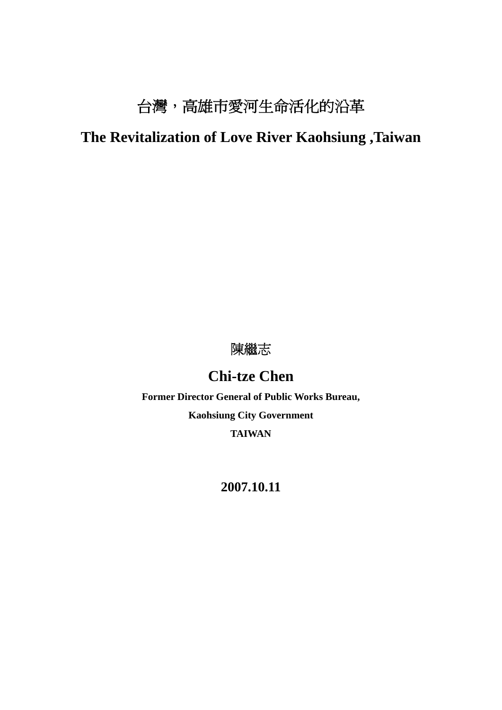# 台灣,高雄市愛河生命活化的沿革

# **The Revitalization of Love River Kaohsiung ,Taiwan**

# 陳繼志

# **Chi-tze Chen**

**Former Director General of Public Works Bureau, Kaohsiung City Government TAIWAN** 

## **2007.10.11**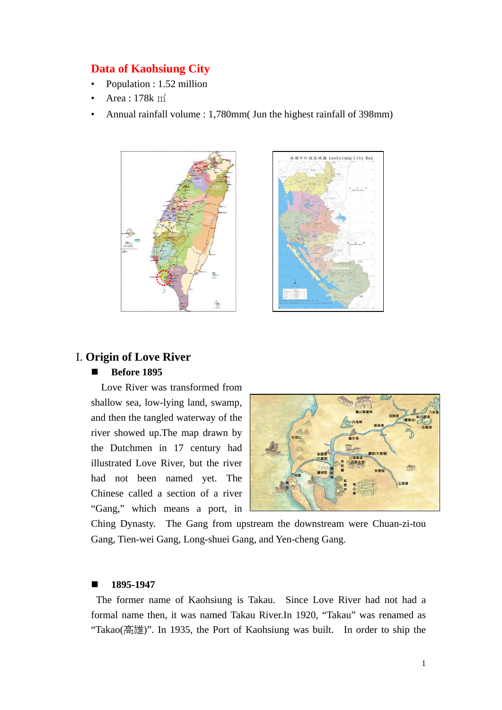#### **Data of Kaohsiung City**

- Population : 1.52 million
- Area : 178k ㎡
- Annual rainfall volume : 1,780mm( Jun the highest rainfall of 398mm)





## I. **Origin of Love River**

#### ■ **Before 1895**

 Love River was transformed from shallow sea, low-lying land, swamp, and then the tangled waterway of the river showed up.The map drawn by the Dutchmen in 17 century had illustrated Love River, but the river had not been named yet. The Chinese called a section of a river "Gang," which means a port, in



Ching Dynasty. The Gang from upstream the downstream were Chuan-zi-tou Gang, Tien-wei Gang, Long-shuei Gang, and Yen-cheng Gang.

#### **1895-1947**

 The former name of Kaohsiung is Takau. Since Love River had not had a formal name then, it was named Takau River.In 1920, "Takau" was renamed as "Takao(高雄)". In 1935, the Port of Kaohsiung was built. In order to ship the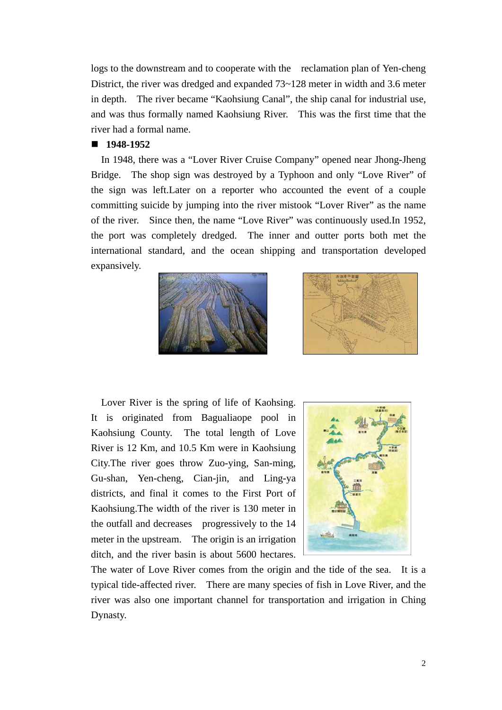logs to the downstream and to cooperate with the reclamation plan of Yen-cheng District, the river was dredged and expanded  $73-128$  meter in width and 3.6 meter in depth. The river became "Kaohsiung Canal", the ship canal for industrial use, and was thus formally named Kaohsiung River. This was the first time that the river had a formal name.

#### **1948-1952**

 In 1948, there was a "Lover River Cruise Company" opened near Jhong-Jheng Bridge. The shop sign was destroyed by a Typhoon and only "Love River" of the sign was left.Later on a reporter who accounted the event of a couple committing suicide by jumping into the river mistook "Lover River" as the name of the river. Since then, the name "Love River" was continuously used.In 1952, the port was completely dredged. The inner and outter ports both met the international standard, and the ocean shipping and transportation developed expansively.





 Lover River is the spring of life of Kaohsing. It is originated from Bagualiaope pool in Kaohsiung County. The total length of Love River is 12 Km, and 10.5 Km were in Kaohsiung City.The river goes throw Zuo-ying, San-ming, Gu-shan, Yen-cheng, Cian-jin, and Ling-ya districts, and final it comes to the First Port of Kaohsiung.The width of the river is 130 meter in the outfall and decreases progressively to the 14 meter in the upstream. The origin is an irrigation ditch, and the river basin is about 5600 hectares.



The water of Love River comes from the origin and the tide of the sea. It is a typical tide-affected river. There are many species of fish in Love River, and the river was also one important channel for transportation and irrigation in Ching Dynasty.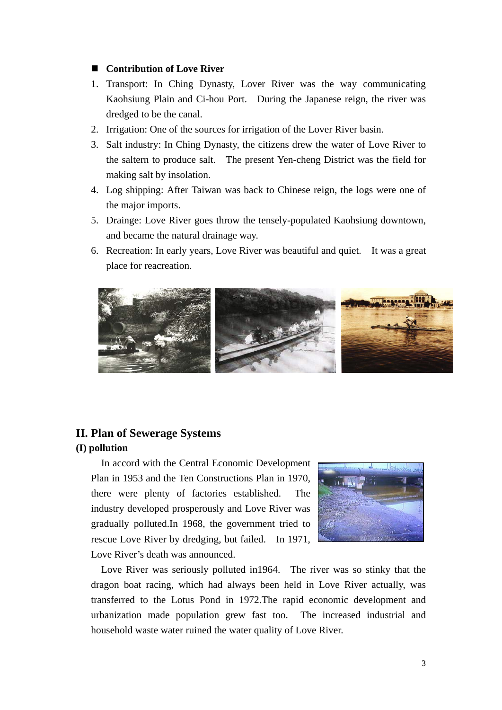#### ■ **Contribution of Love River**

- 1. Transport: In Ching Dynasty, Lover River was the way communicating Kaohsiung Plain and Ci-hou Port. During the Japanese reign, the river was dredged to be the canal.
- 2. Irrigation: One of the sources for irrigation of the Lover River basin.
- 3. Salt industry: In Ching Dynasty, the citizens drew the water of Love River to the saltern to produce salt. The present Yen-cheng District was the field for making salt by insolation.
- 4. Log shipping: After Taiwan was back to Chinese reign, the logs were one of the major imports.
- 5. Drainge: Love River goes throw the tensely-populated Kaohsiung downtown, and became the natural drainage way.
- 6. Recreation: In early years, Love River was beautiful and quiet. It was a great place for reacreation.



#### **II. Plan of Sewerage Systems**

#### **(I) pollution**

In accord with the Central Economic Development Plan in 1953 and the Ten Constructions Plan in 1970, there were plenty of factories established. The industry developed prosperously and Love River was gradually polluted.In 1968, the government tried to rescue Love River by dredging, but failed. In 1971, Love River's death was announced.



Love River was seriously polluted in1964. The river was so stinky that the dragon boat racing, which had always been held in Love River actually, was transferred to the Lotus Pond in 1972.The rapid economic development and urbanization made population grew fast too. The increased industrial and household waste water ruined the water quality of Love River.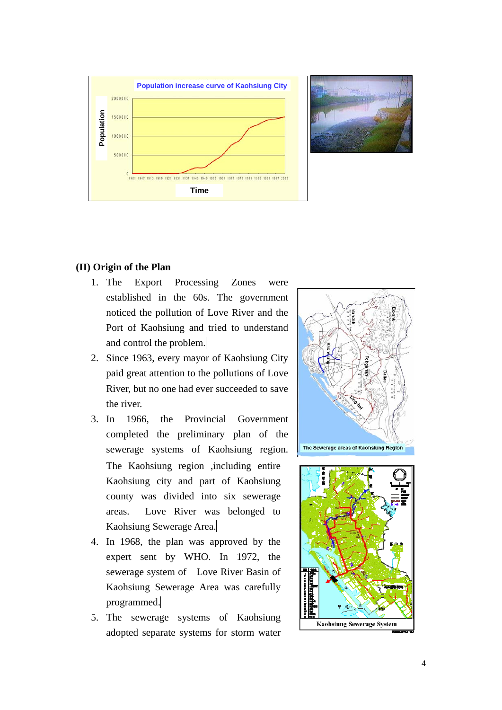

#### **(II) Origin of the Plan**

- 1. The Export Processing Zones were established in the 60s. The government noticed the pollution of Love River and the Port of Kaohsiung and tried to understand and control the problem.
- 2. Since 1963, every mayor of Kaohsiung City paid great attention to the pollutions of Love River, but no one had ever succeeded to save the river.
- 3. In 1966, the Provincial Government completed the preliminary plan of the sewerage systems of Kaohsiung region. The Kaohsiung region ,including entire Kaohsiung city and part of Kaohsiung county was divided into six sewerage areas. Love River was belonged to Kaohsiung Sewerage Area.
- 4. In 1968, the plan was approved by the expert sent by WHO. In 1972, the sewerage system of Love River Basin of Kaohsiung Sewerage Area was carefully programmed.
- 5. The sewerage systems of Kaohsiung adopted separate systems for storm water



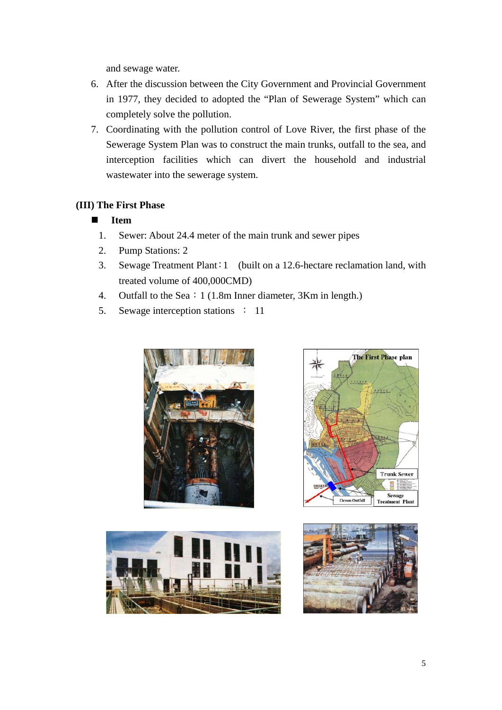and sewage water.

- 6. After the discussion between the City Government and Provincial Government in 1977, they decided to adopted the "Plan of Sewerage System" which can completely solve the pollution.
- 7. Coordinating with the pollution control of Love River, the first phase of the Sewerage System Plan was to construct the main trunks, outfall to the sea, and interception facilities which can divert the household and industrial wastewater into the sewerage system.

#### **(III) The First Phase**

#### **Item**

- 1. Sewer: About 24.4 meter of the main trunk and sewer pipes
- 2. Pump Stations: 2
- 3. Sewage Treatment Plant:1 (built on a 12.6-hectare reclamation land, with treated volume of 400,000CMD)
- 4. Outfall to the Sea: 1 (1.8m Inner diameter, 3Km in length.)
- 5. Sewage interception stations : 11







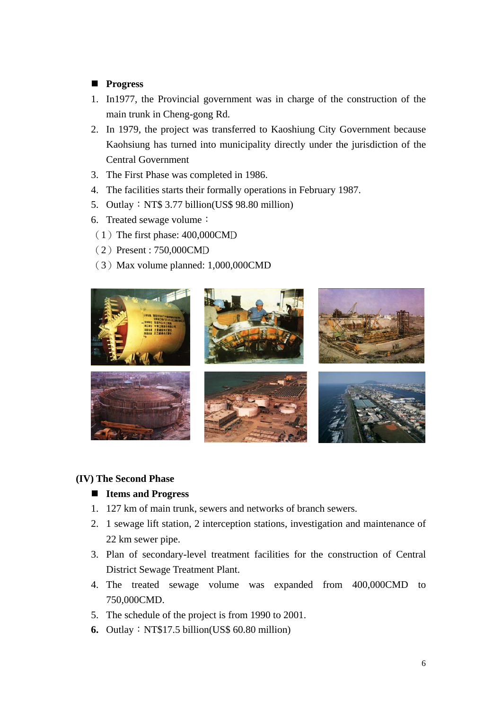#### **Progress**

- 1. In1977, the Provincial government was in charge of the construction of the main trunk in Cheng-gong Rd.
- 2. In 1979, the project was transferred to Kaoshiung City Government because Kaohsiung has turned into municipality directly under the jurisdiction of the Central Government
- 3. The First Phase was completed in 1986.
- 4. The facilities starts their formally operations in February 1987.
- 5. Outlay: NT\$ 3.77 billion(US\$ 98.80 million)
- 6. Treated sewage volume:
- $(1)$  The first phase: 400,000CMD
- (2)Present : 750,000CMD
- $(3)$  Max volume planned: 1,000,000CMD



#### **(IV) The Second Phase**

#### **Items and Progress**

- 1. 127 km of main trunk, sewers and networks of branch sewers.
- 2. 1 sewage lift station, 2 interception stations, investigation and maintenance of 22 km sewer pipe.
- 3. Plan of secondary-level treatment facilities for the construction of Central District Sewage Treatment Plant.
- 4. The treated sewage volume was expanded from 400,000CMD to 750,000CMD.
- 5. The schedule of the project is from 1990 to 2001.
- **6.** Outlay: NT\$17.5 billion(US\$ 60.80 million)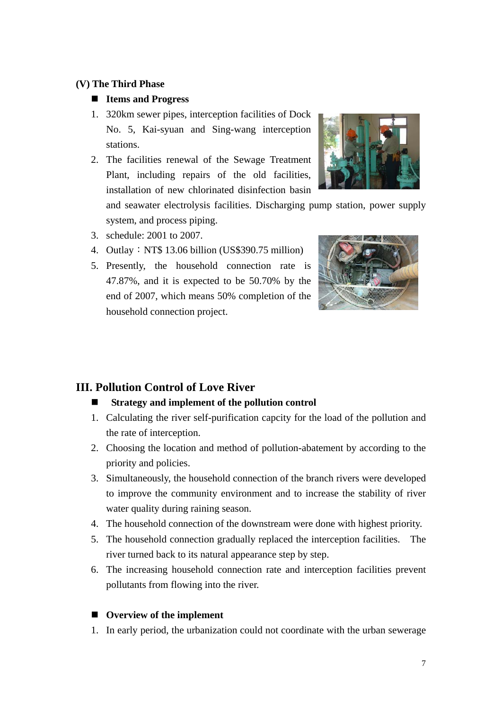#### **(V) The Third Phase**

#### **Items and Progress**

- 1. 320km sewer pipes, interception facilities of Dock No. 5, Kai-syuan and Sing-wang interception stations.
- 2. The facilities renewal of the Sewage Treatment Plant, including repairs of the old facilities, installation of new chlorinated disinfection basin

and seawater electrolysis facilities. Discharging pump station, power supply system, and process piping.

- 3. schedule: 2001 to 2007.
- 4. Outlay:NT\$ 13.06 billion (US\$390.75 million)
- 5. Presently, the household connection rate is 47.87%, and it is expected to be 50.70% by the end of 2007, which means 50% completion of the household connection project.



### **III. Pollution Control of Love River**

#### **Strategy and implement of the pollution control**

- 1. Calculating the river self-purification capcity for the load of the pollution and the rate of interception.
- 2. Choosing the location and method of pollution-abatement by according to the priority and policies.
- 3. Simultaneously, the household connection of the branch rivers were developed to improve the community environment and to increase the stability of river water quality during raining season.
- 4. The household connection of the downstream were done with highest priority.
- 5. The household connection gradually replaced the interception facilities. The river turned back to its natural appearance step by step.
- 6. The increasing household connection rate and interception facilities prevent pollutants from flowing into the river.

#### ■ Overview of the implement

1. In early period, the urbanization could not coordinate with the urban sewerage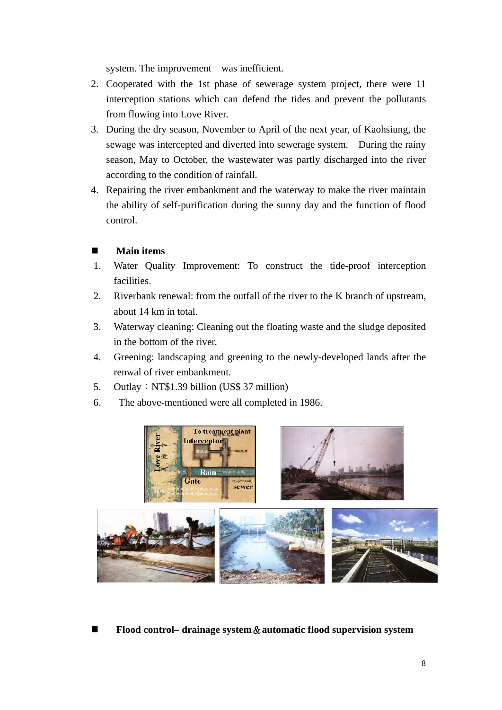system. The improvement was inefficient.

- 2. Cooperated with the 1st phase of sewerage system project, there were 11 interception stations which can defend the tides and prevent the pollutants from flowing into Love River.
- 3. During the dry season, November to April of the next year, of Kaohsiung, the sewage was intercepted and diverted into sewerage system. During the rainy season, May to October, the wastewater was partly discharged into the river according to the condition of rainfall.
- 4. Repairing the river embankment and the waterway to make the river maintain the ability of self-purification during the sunny day and the function of flood control.

#### **Main items**

- 1. Water Quality Improvement: To construct the tide-proof interception facilities.
- 2. Riverbank renewal: from the outfall of the river to the K branch of upstream, about 14 km in total.
- 3. Waterway cleaning: Cleaning out the floating waste and the sludge deposited in the bottom of the river.
- 4. Greening: landscaping and greening to the newly-developed lands after the renwal of river embankment.
- 5. Outlay:  $NT$1.39$  billion (US\$ 37 million)
- 6. The above-mentioned were all completed in 1986.



**Flood control– drainage system**&**automatic flood supervision system**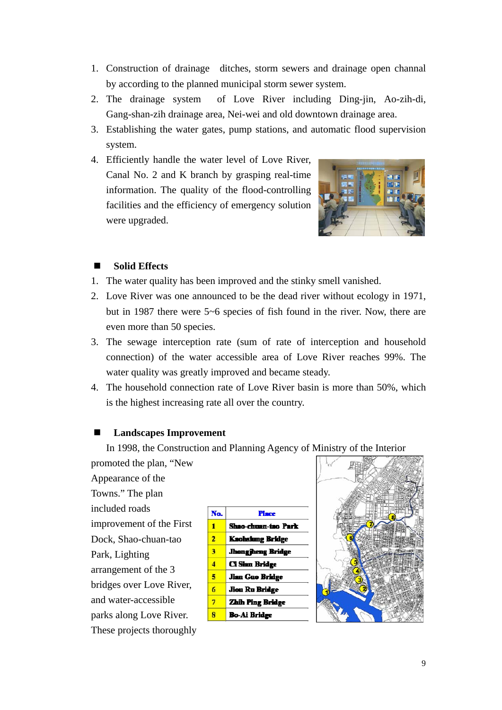- 1. Construction of drainage ditches, storm sewers and drainage open channal by according to the planned municipal storm sewer system.
- 2. The drainage system of Love River including Ding-jin, Ao-zih-di, Gang-shan-zih drainage area, Nei-wei and old downtown drainage area.
- 3. Establishing the water gates, pump stations, and automatic flood supervision system.
- 4. Efficiently handle the water level of Love River, Canal No. 2 and K branch by grasping real-time information. The quality of the flood-controlling facilities and the efficiency of emergency solution were upgraded.



#### **Solid Effects**

- 1. The water quality has been improved and the stinky smell vanished.
- 2. Love River was one announced to be the dead river without ecology in 1971, but in 1987 there were 5~6 species of fish found in the river. Now, there are even more than 50 species.
- 3. The sewage interception rate (sum of rate of interception and household connection) of the water accessible area of Love River reaches 99%. The water quality was greatly improved and became steady.
- 4. The household connection rate of Love River basin is more than 50%, which is the highest increasing rate all over the country.

#### **Landscapes Improvement**

In 1998, the Construction and Planning Agency of Ministry of the Interior

promoted the plan, "New Appearance of the Towns." The plan included roads improvement of the First Dock, Shao-chuan-tao Park, Lighting arrangement of the 3 bridges over Love River, and water-accessible parks along Love River. These projects thoroughly



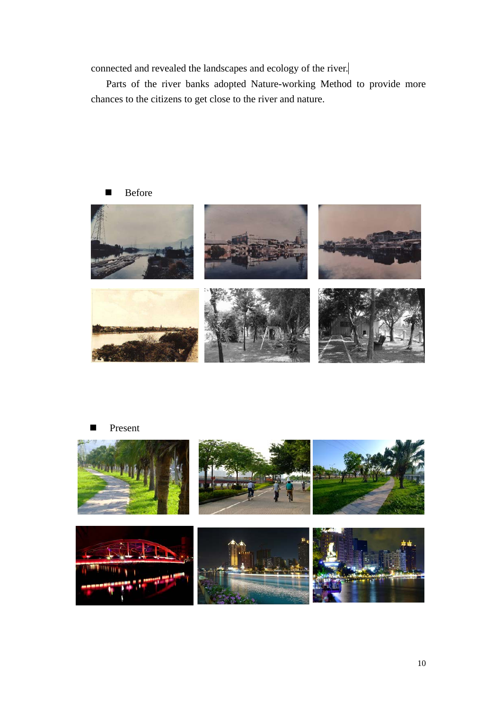connected and revealed the landscapes and ecology of the river.

Parts of the river banks adopted Nature-working Method to provide more chances to the citizens to get close to the river and nature.





Present